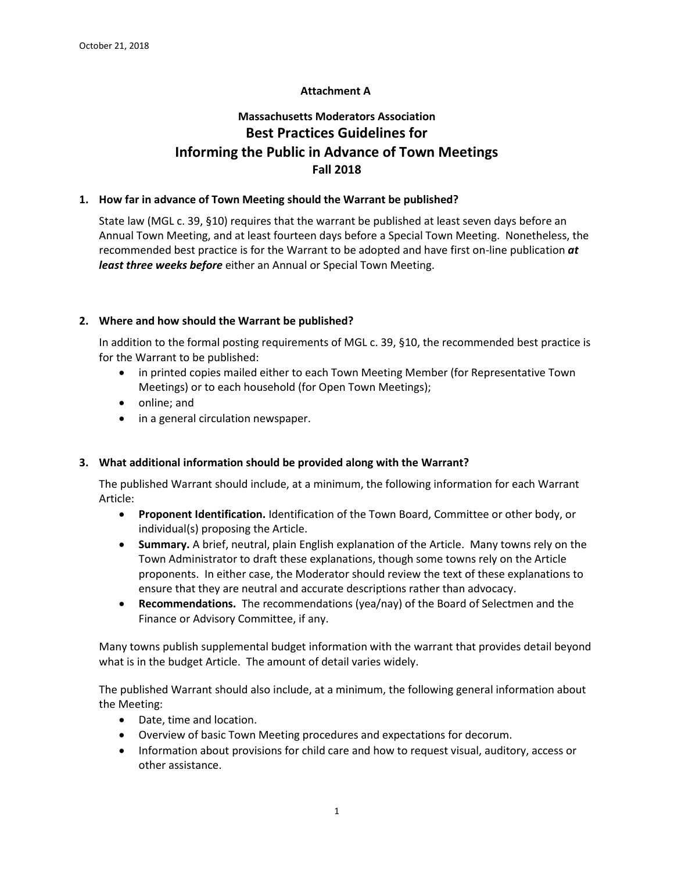## **Attachment A**

# **Massachusetts Moderators Association Best Practices Guidelines for Informing the Public in Advance of Town Meetings Fall 2018**

#### **1. How far in advance of Town Meeting should the Warrant be published?**

State law (MGL c. 39, §10) requires that the warrant be published at least seven days before an Annual Town Meeting, and at least fourteen days before a Special Town Meeting. Nonetheless, the recommended best practice is for the Warrant to be adopted and have first on-line publication *at least three weeks before* either an Annual or Special Town Meeting.

## **2. Where and how should the Warrant be published?**

In addition to the formal posting requirements of MGL c. 39, §10, the recommended best practice is for the Warrant to be published:

- in printed copies mailed either to each Town Meeting Member (for Representative Town Meetings) or to each household (for Open Town Meetings);
- online; and
- in a general circulation newspaper.

## **3. What additional information should be provided along with the Warrant?**

The published Warrant should include, at a minimum, the following information for each Warrant Article:

- **Proponent Identification.** Identification of the Town Board, Committee or other body, or individual(s) proposing the Article.
- **Summary.** A brief, neutral, plain English explanation of the Article. Many towns rely on the Town Administrator to draft these explanations, though some towns rely on the Article proponents. In either case, the Moderator should review the text of these explanations to ensure that they are neutral and accurate descriptions rather than advocacy.
- **Recommendations.** The recommendations (yea/nay) of the Board of Selectmen and the Finance or Advisory Committee, if any.

Many towns publish supplemental budget information with the warrant that provides detail beyond what is in the budget Article. The amount of detail varies widely.

The published Warrant should also include, at a minimum, the following general information about the Meeting:

- Date, time and location.
- Overview of basic Town Meeting procedures and expectations for decorum.
- Information about provisions for child care and how to request visual, auditory, access or other assistance.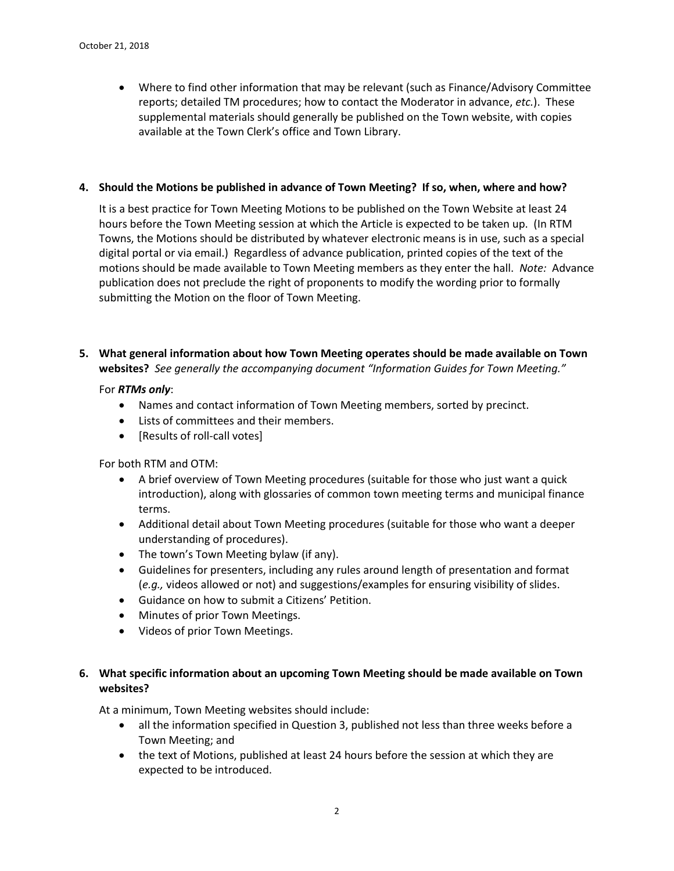• Where to find other information that may be relevant (such as Finance/Advisory Committee reports; detailed TM procedures; how to contact the Moderator in advance, *etc.*). These supplemental materials should generally be published on the Town website, with copies available at the Town Clerk's office and Town Library.

#### **4. Should the Motions be published in advance of Town Meeting? If so, when, where and how?**

It is a best practice for Town Meeting Motions to be published on the Town Website at least 24 hours before the Town Meeting session at which the Article is expected to be taken up. (In RTM Towns, the Motions should be distributed by whatever electronic means is in use, such as a special digital portal or via email.) Regardless of advance publication, printed copies of the text of the motions should be made available to Town Meeting members as they enter the hall. *Note:* Advance publication does not preclude the right of proponents to modify the wording prior to formally submitting the Motion on the floor of Town Meeting.

**5. What general information about how Town Meeting operates should be made available on Town websites?** *See generally the accompanying document "Information Guides for Town Meeting."*

#### For *RTMs only*:

- Names and contact information of Town Meeting members, sorted by precinct.
- Lists of committees and their members.
- [Results of roll-call votes]

For both RTM and OTM:

- A brief overview of Town Meeting procedures (suitable for those who just want a quick introduction), along with glossaries of common town meeting terms and municipal finance terms.
- Additional detail about Town Meeting procedures (suitable for those who want a deeper understanding of procedures).
- The town's Town Meeting bylaw (if any).
- Guidelines for presenters, including any rules around length of presentation and format (*e.g.,* videos allowed or not) and suggestions/examples for ensuring visibility of slides.
- Guidance on how to submit a Citizens' Petition.
- Minutes of prior Town Meetings.
- Videos of prior Town Meetings.

## **6. What specific information about an upcoming Town Meeting should be made available on Town websites?**

At a minimum, Town Meeting websites should include:

- all the information specified in Question 3, published not less than three weeks before a Town Meeting; and
- the text of Motions, published at least 24 hours before the session at which they are expected to be introduced.